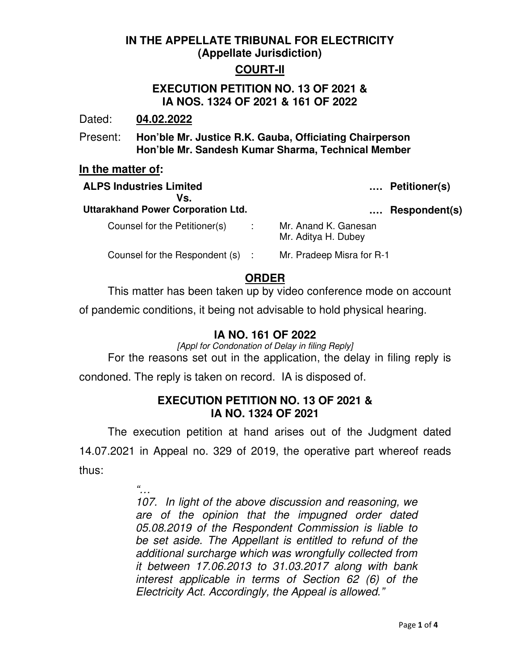# **IN THE APPELLATE TRIBUNAL FOR ELECTRICITY (Appellate Jurisdiction)**

## **COURT-II**

## **EXECUTION PETITION NO. 13 OF 2021 & IA NOS. 1324 OF 2021 & 161 OF 2022**

Dated: **04.02.2022**

Present: **Hon'ble Mr. Justice R.K. Gauba, Officiating Chairperson Hon'ble Mr. Sandesh Kumar Sharma, Technical Member** 

#### **In the matter of:**

| <b>ALPS Industries Limited</b><br>Vs.<br><b>Uttarakhand Power Corporation Ltd.</b> |           |                                             | Petitioner(s) |
|------------------------------------------------------------------------------------|-----------|---------------------------------------------|---------------|
|                                                                                    |           |                                             | Respondent(s) |
| Counsel for the Petitioner(s)                                                      | $\sim 10$ | Mr. Anand K. Ganesan<br>Mr. Aditya H. Dubey |               |
| Counsel for the Respondent (s) :                                                   |           | Mr. Pradeep Misra for R-1                   |               |

# **ORDER**

This matter has been taken up by video conference mode on account

of pandemic conditions, it being not advisable to hold physical hearing.

# **IA NO. 161 OF 2022**

[Appl for Condonation of Delay in filing Reply] For the reasons set out in the application, the delay in filing reply is

condoned. The reply is taken on record. IA is disposed of.

## **EXECUTION PETITION NO. 13 OF 2021 & IA NO. 1324 OF 2021**

 The execution petition at hand arises out of the Judgment dated 14.07.2021 in Appeal no. 329 of 2019, the operative part whereof reads thus:

 $^{\prime}$  .

107. In light of the above discussion and reasoning, we are of the opinion that the impugned order dated 05.08.2019 of the Respondent Commission is liable to be set aside. The Appellant is entitled to refund of the additional surcharge which was wrongfully collected from it between 17.06.2013 to 31.03.2017 along with bank interest applicable in terms of Section 62 (6) of the Electricity Act. Accordingly, the Appeal is allowed."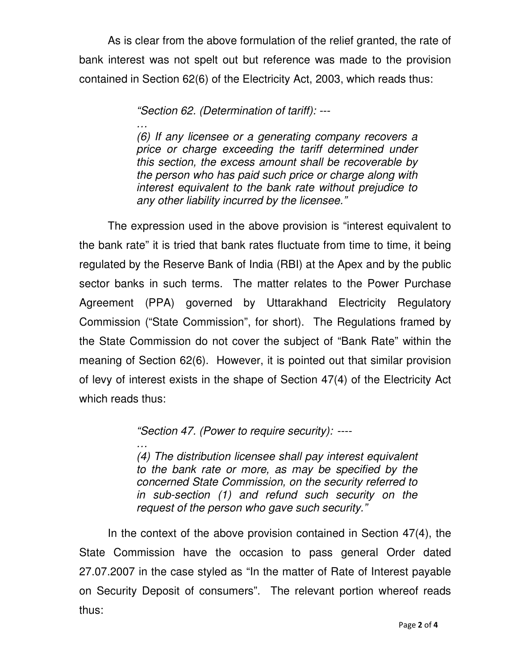As is clear from the above formulation of the relief granted, the rate of bank interest was not spelt out but reference was made to the provision contained in Section 62(6) of the Electricity Act, 2003, which reads thus:

"Section 62. (Determination of tariff): ---

… (6) If any licensee or a generating company recovers a price or charge exceeding the tariff determined under this section, the excess amount shall be recoverable by the person who has paid such price or charge along with interest equivalent to the bank rate without prejudice to any other liability incurred by the licensee."

 The expression used in the above provision is "interest equivalent to the bank rate" it is tried that bank rates fluctuate from time to time, it being regulated by the Reserve Bank of India (RBI) at the Apex and by the public sector banks in such terms. The matter relates to the Power Purchase Agreement (PPA) governed by Uttarakhand Electricity Regulatory Commission ("State Commission", for short). The Regulations framed by the State Commission do not cover the subject of "Bank Rate" within the meaning of Section 62(6). However, it is pointed out that similar provision of levy of interest exists in the shape of Section 47(4) of the Electricity Act which reads thus:

"Section 47. (Power to require security): ----

… (4) The distribution licensee shall pay interest equivalent to the bank rate or more, as may be specified by the concerned State Commission, on the security referred to in sub-section (1) and refund such security on the request of the person who gave such security."

 In the context of the above provision contained in Section 47(4), the State Commission have the occasion to pass general Order dated 27.07.2007 in the case styled as "In the matter of Rate of Interest payable on Security Deposit of consumers". The relevant portion whereof reads thus: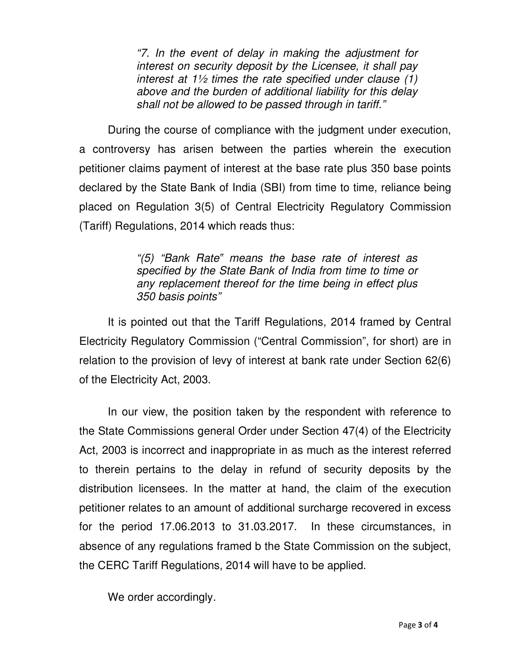"7. In the event of delay in making the adjustment for interest on security deposit by the Licensee, it shall pay interest at  $1\frac{1}{2}$  times the rate specified under clause (1) above and the burden of additional liability for this delay shall not be allowed to be passed through in tariff."

 During the course of compliance with the judgment under execution, a controversy has arisen between the parties wherein the execution petitioner claims payment of interest at the base rate plus 350 base points declared by the State Bank of India (SBI) from time to time, reliance being placed on Regulation 3(5) of Central Electricity Regulatory Commission (Tariff) Regulations, 2014 which reads thus:

> "(5) "Bank Rate*"* means the base rate of interest as specified by the State Bank of India from time to time or any replacement thereof for the time being in effect plus 350 basis points"

 It is pointed out that the Tariff Regulations, 2014 framed by Central Electricity Regulatory Commission ("Central Commission", for short) are in relation to the provision of levy of interest at bank rate under Section 62(6) of the Electricity Act, 2003.

 In our view, the position taken by the respondent with reference to the State Commissions general Order under Section 47(4) of the Electricity Act, 2003 is incorrect and inappropriate in as much as the interest referred to therein pertains to the delay in refund of security deposits by the distribution licensees. In the matter at hand, the claim of the execution petitioner relates to an amount of additional surcharge recovered in excess for the period 17.06.2013 to 31.03.2017. In these circumstances, in absence of any regulations framed b the State Commission on the subject, the CERC Tariff Regulations, 2014 will have to be applied.

We order accordingly.